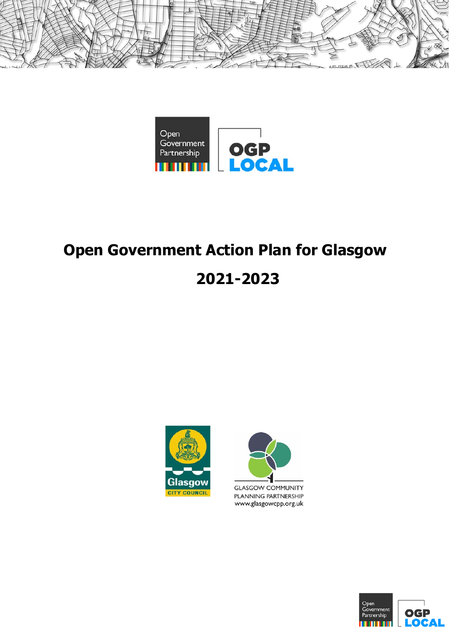



# **Open Government Action Plan for Glasgow**

# **2021-2023**





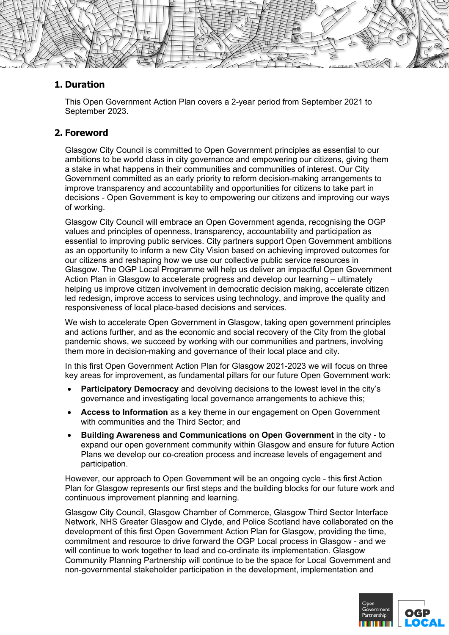

# **1. Duration**

This Open Government Action Plan covers a 2-year period from September 2021 to September 2023.

# **2. Foreword**

Glasgow City Council is committed to Open Government principles as essential to our ambitions to be world class in city governance and empowering our citizens, giving them a stake in what happens in their communities and communities of interest. Our City Government committed as an early priority to reform decision-making arrangements to improve transparency and accountability and opportunities for citizens to take part in decisions - Open Government is key to empowering our citizens and improving our ways of working.

Glasgow City Council will embrace an Open Government agenda, recognising the OGP values and principles of openness, transparency, accountability and participation as essential to improving public services. City partners support Open Government ambitions as an opportunity to inform a new City Vision based on achieving improved outcomes for our citizens and reshaping how we use our collective public service resources in Glasgow. The OGP Local Programme will help us deliver an impactful Open Government Action Plan in Glasgow to accelerate progress and develop our learning – ultimately helping us improve citizen involvement in democratic decision making, accelerate citizen led redesign, improve access to services using technology, and improve the quality and responsiveness of local place-based decisions and services.

We wish to accelerate Open Government in Glasgow, taking open government principles and actions further, and as the economic and social recovery of the City from the global pandemic shows, we succeed by working with our communities and partners, involving them more in decision-making and governance of their local place and city.

In this first Open Government Action Plan for Glasgow 2021-2023 we will focus on three key areas for improvement, as fundamental pillars for our future Open Government work:

- **Participatory Democracy** and devolving decisions to the lowest level in the city's governance and investigating local governance arrangements to achieve this;
- **Access to Information** as a key theme in our engagement on Open Government with communities and the Third Sector; and
- **Building Awareness and Communications on Open Government** in the city to expand our open government community within Glasgow and ensure for future Action Plans we develop our co-creation process and increase levels of engagement and participation.

However, our approach to Open Government will be an ongoing cycle - this first Action Plan for Glasgow represents our first steps and the building blocks for our future work and continuous improvement planning and learning.

Glasgow City Council, Glasgow Chamber of Commerce, Glasgow Third Sector Interface Network, NHS Greater Glasgow and Clyde, and Police Scotland have collaborated on the development of this first Open Government Action Plan for Glasgow, providing the time, commitment and resource to drive forward the OGP Local process in Glasgow - and we will continue to work together to lead and co-ordinate its implementation. Glasgow Community Planning Partnership will continue to be the space for Local Government and non-governmental stakeholder participation in the development, implementation and

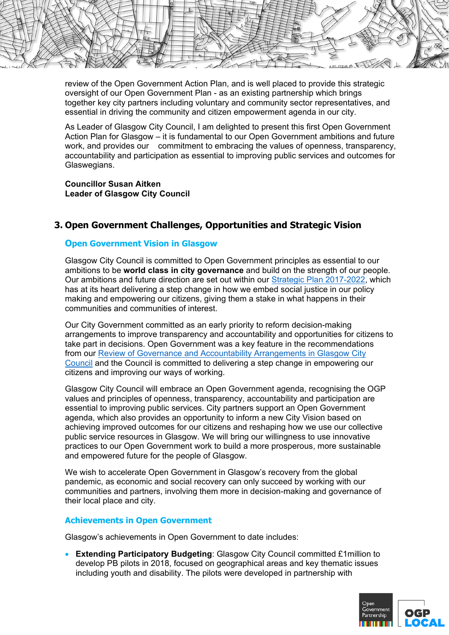

review of the Open Government Action Plan, and is well placed to provide this strategic oversight of our Open Government Plan - as an existing partnership which brings together key city partners including voluntary and community sector representatives, and essential in driving the community and citizen empowerment agenda in our city.

As Leader of Glasgow City Council, I am delighted to present this first Open Government Action Plan for Glasgow – it is fundamental to our Open Government ambitions and future work, and provides our commitment to embracing the values of openness, transparency, accountability and participation as essential to improving public services and outcomes for Glaswegians.

**Councillor Susan Aitken Leader of Glasgow City Council**

# **3. Open Government Challenges, Opportunities and Strategic Vision**

## **Open Government Vision in Glasgow**

Glasgow City Council is committed to Open Government principles as essential to our ambitions to be **world class in city governance** and build on the strength of our people. Our ambitions and future direction are set out within our Strategic Plan 2017-2022, which has at its heart delivering a step change in how we embed social justice in our policy making and empowering our citizens, giving them a stake in what happens in their communities and communities of interest.

Our City Government committed as an early priority to reform decision-making arrangements to improve transparency and accountability and opportunities for citizens to take part in decisions. Open Government was a key feature in the recommendations from our Review of Governance and Accountability Arrangements in Glasgow City Council and the Council is committed to delivering a step change in empowering our citizens and improving our ways of working.

Glasgow City Council will embrace an Open Government agenda, recognising the OGP values and principles of openness, transparency, accountability and participation are essential to improving public services. City partners support an Open Government agenda, which also provides an opportunity to inform a new City Vision based on achieving improved outcomes for our citizens and reshaping how we use our collective public service resources in Glasgow. We will bring our willingness to use innovative practices to our Open Government work to build a more prosperous, more sustainable and empowered future for the people of Glasgow.

We wish to accelerate Open Government in Glasgow's recovery from the global pandemic, as economic and social recovery can only succeed by working with our communities and partners, involving them more in decision-making and governance of their local place and city.

#### **Achievements in Open Government**

Glasgow's achievements in Open Government to date includes:

 **Extending Participatory Budgeting**: Glasgow City Council committed £1million to develop PB pilots in 2018, focused on geographical areas and key thematic issues including youth and disability. The pilots were developed in partnership with

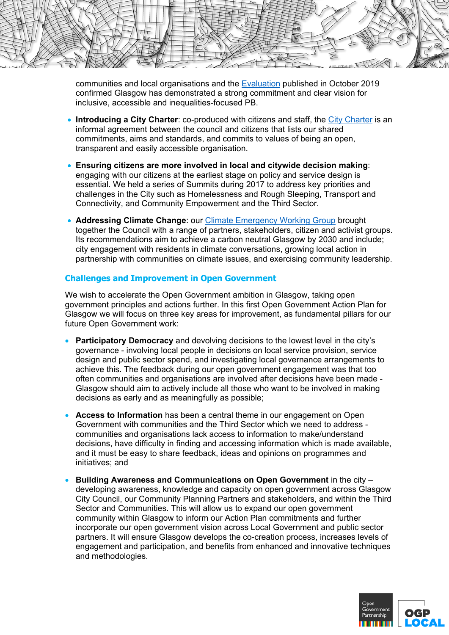HE TI

communities and local organisations and the Evaluation published in October 2019 confirmed Glasgow has demonstrated a strong commitment and clear vision for inclusive, accessible and inequalities-focused PB.

- **Introducing a City Charter**: co-produced with citizens and staff, the City Charter is an informal agreement between the council and citizens that lists our shared commitments, aims and standards, and commits to values of being an open, transparent and easily accessible organisation.
- **Ensuring citizens are more involved in local and citywide decision making**: engaging with our citizens at the earliest stage on policy and service design is essential. We held a series of Summits during 2017 to address key priorities and challenges in the City such as Homelessness and Rough Sleeping, Transport and Connectivity, and Community Empowerment and the Third Sector.
- **Addressing Climate Change: our Climate Emergency Working Group brought** together the Council with a range of partners, stakeholders, citizen and activist groups. Its recommendations aim to achieve a carbon neutral Glasgow by 2030 and include; city engagement with residents in climate conversations, growing local action in partnership with communities on climate issues, and exercising community leadership.

# **Challenges and Improvement in Open Government**

We wish to accelerate the Open Government ambition in Glasgow, taking open government principles and actions further. In this first Open Government Action Plan for Glasgow we will focus on three key areas for improvement, as fundamental pillars for our future Open Government work:

- **Participatory Democracy** and devolving decisions to the lowest level in the city's governance - involving local people in decisions on local service provision, service design and public sector spend, and investigating local governance arrangements to achieve this. The feedback during our open government engagement was that too often communities and organisations are involved after decisions have been made - Glasgow should aim to actively include all those who want to be involved in making decisions as early and as meaningfully as possible;
- **Access to Information** has been a central theme in our engagement on Open Government with communities and the Third Sector which we need to address communities and organisations lack access to information to make/understand decisions, have difficulty in finding and accessing information which is made available, and it must be easy to share feedback, ideas and opinions on programmes and initiatives; and
- **Building Awareness and Communications on Open Government** in the city developing awareness, knowledge and capacity on open government across Glasgow City Council, our Community Planning Partners and stakeholders, and within the Third Sector and Communities. This will allow us to expand our open government community within Glasgow to inform our Action Plan commitments and further incorporate our open government vision across Local Government and public sector partners. It will ensure Glasgow develops the co-creation process, increases levels of engagement and participation, and benefits from enhanced and innovative techniques and methodologies.

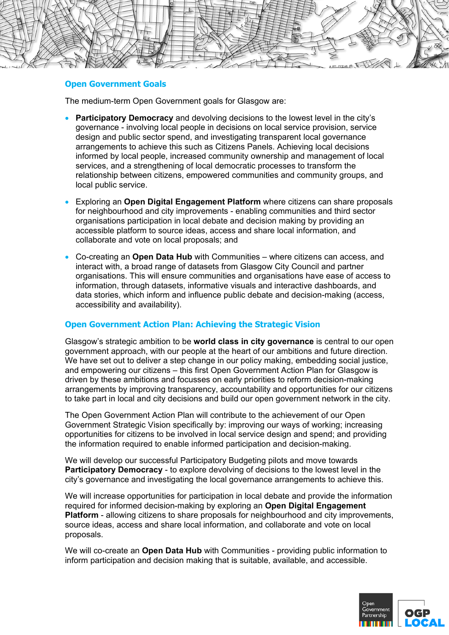

#### **Open Government Goals**

The medium-term Open Government goals for Glasgow are:

- **Participatory Democracy** and devolving decisions to the lowest level in the city's governance - involving local people in decisions on local service provision, service design and public sector spend, and investigating transparent local governance arrangements to achieve this such as Citizens Panels. Achieving local decisions informed by local people, increased community ownership and management of local services, and a strengthening of local democratic processes to transform the relationship between citizens, empowered communities and community groups, and local public service.
- Exploring an **Open Digital Engagement Platform** where citizens can share proposals for neighbourhood and city improvements - enabling communities and third sector organisations participation in local debate and decision making by providing an accessible platform to source ideas, access and share local information, and collaborate and vote on local proposals; and
- Co-creating an **Open Data Hub** with Communities where citizens can access, and interact with, a broad range of datasets from Glasgow City Council and partner organisations. This will ensure communities and organisations have ease of access to information, through datasets, informative visuals and interactive dashboards, and data stories, which inform and influence public debate and decision-making (access, accessibility and availability).

# **Open Government Action Plan: Achieving the Strategic Vision**

Glasgow's strategic ambition to be **world class in city governance** is central to our open government approach, with our people at the heart of our ambitions and future direction. We have set out to deliver a step change in our policy making, embedding social justice, and empowering our citizens – this first Open Government Action Plan for Glasgow is driven by these ambitions and focusses on early priorities to reform decision-making arrangements by improving transparency, accountability and opportunities for our citizens to take part in local and city decisions and build our open government network in the city.

The Open Government Action Plan will contribute to the achievement of our Open Government Strategic Vision specifically by: improving our ways of working; increasing opportunities for citizens to be involved in local service design and spend; and providing the information required to enable informed participation and decision-making.

We will develop our successful Participatory Budgeting pilots and move towards **Participatory Democracy** - to explore devolving of decisions to the lowest level in the city's governance and investigating the local governance arrangements to achieve this.

We will increase opportunities for participation in local debate and provide the information required for informed decision-making by exploring an **Open Digital Engagement Platform** - allowing citizens to share proposals for neighbourhood and city improvements, source ideas, access and share local information, and collaborate and vote on local proposals.

We will co-create an **Open Data Hub** with Communities - providing public information to inform participation and decision making that is suitable, available, and accessible.

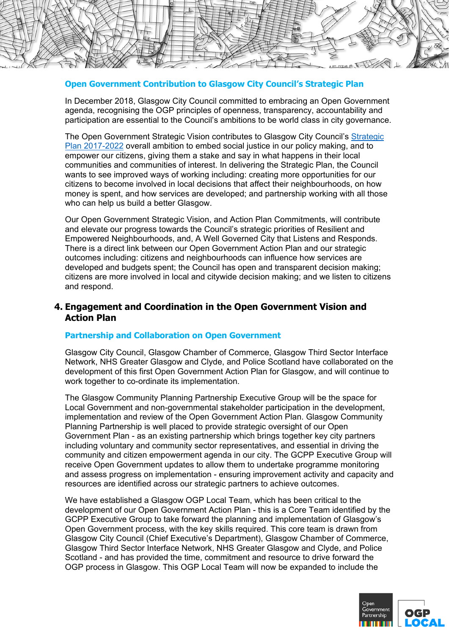

## **Open Government Contribution to Glasgow City Council's Strategic Plan**

In December 2018, Glasgow City Council committed to embracing an Open Government agenda, recognising the OGP principles of openness, transparency, accountability and participation are essential to the Council's ambitions to be world class in city governance.

The Open Government Strategic Vision contributes to Glasgow City Council's Strategic Plan 2017-2022 overall ambition to embed social justice in our policy making, and to empower our citizens, giving them a stake and say in what happens in their local communities and communities of interest. In delivering the Strategic Plan, the Council wants to see improved ways of working including: creating more opportunities for our citizens to become involved in local decisions that affect their neighbourhoods, on how money is spent, and how services are developed; and partnership working with all those who can help us build a better Glasgow.

Our Open Government Strategic Vision, and Action Plan Commitments, will contribute and elevate our progress towards the Council's strategic priorities of Resilient and Empowered Neighbourhoods, and, A Well Governed City that Listens and Responds. There is a direct link between our Open Government Action Plan and our strategic outcomes including: citizens and neighbourhoods can influence how services are developed and budgets spent; the Council has open and transparent decision making; citizens are more involved in local and citywide decision making; and we listen to citizens and respond.

# **4. Engagement and Coordination in the Open Government Vision and Action Plan**

## **Partnership and Collaboration on Open Government**

Glasgow City Council, Glasgow Chamber of Commerce, Glasgow Third Sector Interface Network, NHS Greater Glasgow and Clyde, and Police Scotland have collaborated on the development of this first Open Government Action Plan for Glasgow, and will continue to work together to co-ordinate its implementation.

The Glasgow Community Planning Partnership Executive Group will be the space for Local Government and non-governmental stakeholder participation in the development, implementation and review of the Open Government Action Plan. Glasgow Community Planning Partnership is well placed to provide strategic oversight of our Open Government Plan - as an existing partnership which brings together key city partners including voluntary and community sector representatives, and essential in driving the community and citizen empowerment agenda in our city. The GCPP Executive Group will receive Open Government updates to allow them to undertake programme monitoring and assess progress on implementation - ensuring improvement activity and capacity and resources are identified across our strategic partners to achieve outcomes.

We have established a Glasgow OGP Local Team, which has been critical to the development of our Open Government Action Plan - this is a Core Team identified by the GCPP Executive Group to take forward the planning and implementation of Glasgow's Open Government process, with the key skills required. This core team is drawn from Glasgow City Council (Chief Executive's Department), Glasgow Chamber of Commerce, Glasgow Third Sector Interface Network, NHS Greater Glasgow and Clyde, and Police Scotland - and has provided the time, commitment and resource to drive forward the OGP process in Glasgow. This OGP Local Team will now be expanded to include the

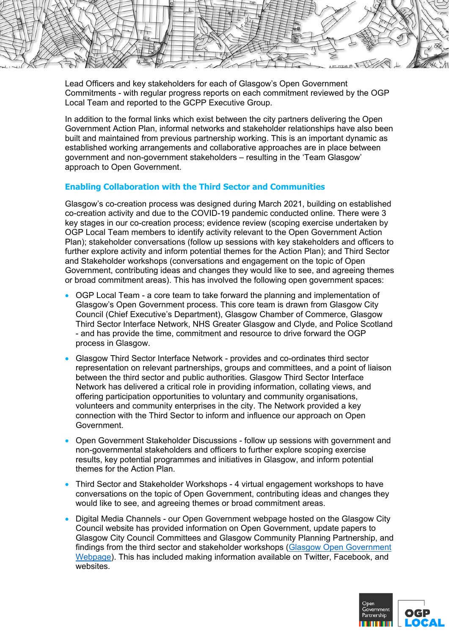

Lead Officers and key stakeholders for each of Glasgow's Open Government Commitments - with regular progress reports on each commitment reviewed by the OGP Local Team and reported to the GCPP Executive Group.

In addition to the formal links which exist between the city partners delivering the Open Government Action Plan, informal networks and stakeholder relationships have also been built and maintained from previous partnership working. This is an important dynamic as established working arrangements and collaborative approaches are in place between government and non-government stakeholders – resulting in the 'Team Glasgow' approach to Open Government.

# **Enabling Collaboration with the Third Sector and Communities**

Glasgow's co-creation process was designed during March 2021, building on established co-creation activity and due to the COVID-19 pandemic conducted online. There were 3 key stages in our co-creation process; evidence review (scoping exercise undertaken by OGP Local Team members to identify activity relevant to the Open Government Action Plan); stakeholder conversations (follow up sessions with key stakeholders and officers to further explore activity and inform potential themes for the Action Plan); and Third Sector and Stakeholder workshops (conversations and engagement on the topic of Open Government, contributing ideas and changes they would like to see, and agreeing themes or broad commitment areas). This has involved the following open government spaces:

- OGP Local Team a core team to take forward the planning and implementation of Glasgow's Open Government process. This core team is drawn from Glasgow City Council (Chief Executive's Department), Glasgow Chamber of Commerce, Glasgow Third Sector Interface Network, NHS Greater Glasgow and Clyde, and Police Scotland - and has provide the time, commitment and resource to drive forward the OGP process in Glasgow.
- Glasgow Third Sector Interface Network provides and co-ordinates third sector representation on relevant partnerships, groups and committees, and a point of liaison between the third sector and public authorities. Glasgow Third Sector Interface Network has delivered a critical role in providing information, collating views, and offering participation opportunities to voluntary and community organisations, volunteers and community enterprises in the city. The Network provided a key connection with the Third Sector to inform and influence our approach on Open Government.
- Open Government Stakeholder Discussions follow up sessions with government and non-governmental stakeholders and officers to further explore scoping exercise results, key potential programmes and initiatives in Glasgow, and inform potential themes for the Action Plan.
- Third Sector and Stakeholder Workshops 4 virtual engagement workshops to have conversations on the topic of Open Government, contributing ideas and changes they would like to see, and agreeing themes or broad commitment areas.
- Digital Media Channels our Open Government webpage hosted on the Glasgow City Council website has provided information on Open Government, update papers to Glasgow City Council Committees and Glasgow Community Planning Partnership, and findings from the third sector and stakeholder workshops (Glasgow Open Government Webpage). This has included making information available on Twitter, Facebook, and websites

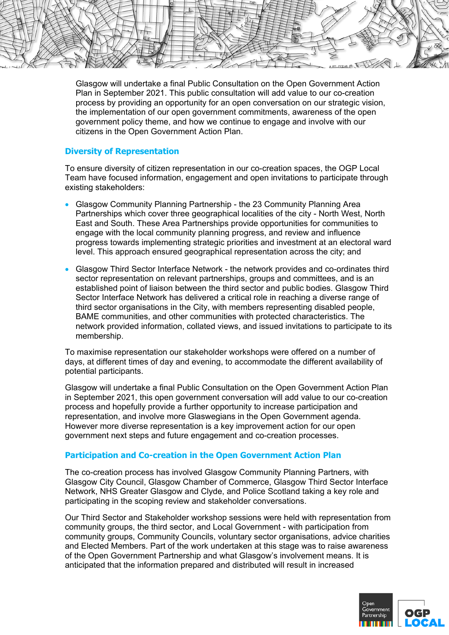

Glasgow will undertake a final Public Consultation on the Open Government Action Plan in September 2021. This public consultation will add value to our co-creation process by providing an opportunity for an open conversation on our strategic vision, the implementation of our open government commitments, awareness of the open government policy theme, and how we continue to engage and involve with our citizens in the Open Government Action Plan.

## **Diversity of Representation**

To ensure diversity of citizen representation in our co-creation spaces, the OGP Local Team have focused information, engagement and open invitations to participate through existing stakeholders:

- Glasgow Community Planning Partnership the 23 Community Planning Area Partnerships which cover three geographical localities of the city - North West, North East and South. These Area Partnerships provide opportunities for communities to engage with the local community planning progress, and review and influence progress towards implementing strategic priorities and investment at an electoral ward level. This approach ensured geographical representation across the city; and
- Glasgow Third Sector Interface Network the network provides and co-ordinates third sector representation on relevant partnerships, groups and committees, and is an established point of liaison between the third sector and public bodies. Glasgow Third Sector Interface Network has delivered a critical role in reaching a diverse range of third sector organisations in the City, with members representing disabled people, BAME communities, and other communities with protected characteristics. The network provided information, collated views, and issued invitations to participate to its membership.

To maximise representation our stakeholder workshops were offered on a number of days, at different times of day and evening, to accommodate the different availability of potential participants.

Glasgow will undertake a final Public Consultation on the Open Government Action Plan in September 2021, this open government conversation will add value to our co-creation process and hopefully provide a further opportunity to increase participation and representation, and involve more Glaswegians in the Open Government agenda. However more diverse representation is a key improvement action for our open government next steps and future engagement and co-creation processes.

# **Participation and Co-creation in the Open Government Action Plan**

The co-creation process has involved Glasgow Community Planning Partners, with Glasgow City Council, Glasgow Chamber of Commerce, Glasgow Third Sector Interface Network, NHS Greater Glasgow and Clyde, and Police Scotland taking a key role and participating in the scoping review and stakeholder conversations.

Our Third Sector and Stakeholder workshop sessions were held with representation from community groups, the third sector, and Local Government - with participation from community groups, Community Councils, voluntary sector organisations, advice charities and Elected Members. Part of the work undertaken at this stage was to raise awareness of the Open Government Partnership and what Glasgow's involvement means. It is anticipated that the information prepared and distributed will result in increased

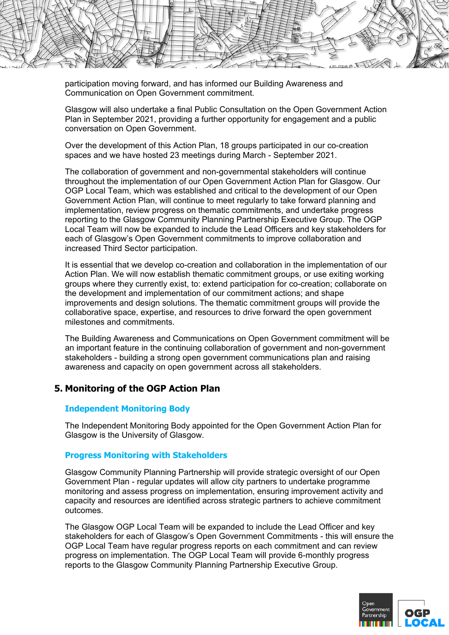

participation moving forward, and has informed our Building Awareness and Communication on Open Government commitment.

Glasgow will also undertake a final Public Consultation on the Open Government Action Plan in September 2021, providing a further opportunity for engagement and a public conversation on Open Government.

Over the development of this Action Plan, 18 groups participated in our co-creation spaces and we have hosted 23 meetings during March - September 2021.

The collaboration of government and non-governmental stakeholders will continue throughout the implementation of our Open Government Action Plan for Glasgow. Our OGP Local Team, which was established and critical to the development of our Open Government Action Plan, will continue to meet regularly to take forward planning and implementation, review progress on thematic commitments, and undertake progress reporting to the Glasgow Community Planning Partnership Executive Group. The OGP Local Team will now be expanded to include the Lead Officers and key stakeholders for each of Glasgow's Open Government commitments to improve collaboration and increased Third Sector participation.

It is essential that we develop co-creation and collaboration in the implementation of our Action Plan. We will now establish thematic commitment groups, or use exiting working groups where they currently exist, to: extend participation for co-creation; collaborate on the development and implementation of our commitment actions; and shape improvements and design solutions. The thematic commitment groups will provide the collaborative space, expertise, and resources to drive forward the open government milestones and commitments.

The Building Awareness and Communications on Open Government commitment will be an important feature in the continuing collaboration of government and non-government stakeholders - building a strong open government communications plan and raising awareness and capacity on open government across all stakeholders.

# **5. Monitoring of the OGP Action Plan**

## **Independent Monitoring Body**

The Independent Monitoring Body appointed for the Open Government Action Plan for Glasgow is the University of Glasgow.

## **Progress Monitoring with Stakeholders**

Glasgow Community Planning Partnership will provide strategic oversight of our Open Government Plan - regular updates will allow city partners to undertake programme monitoring and assess progress on implementation, ensuring improvement activity and capacity and resources are identified across strategic partners to achieve commitment outcomes.

The Glasgow OGP Local Team will be expanded to include the Lead Officer and key stakeholders for each of Glasgow's Open Government Commitments - this will ensure the OGP Local Team have regular progress reports on each commitment and can review progress on implementation. The OGP Local Team will provide 6-monthly progress reports to the Glasgow Community Planning Partnership Executive Group.

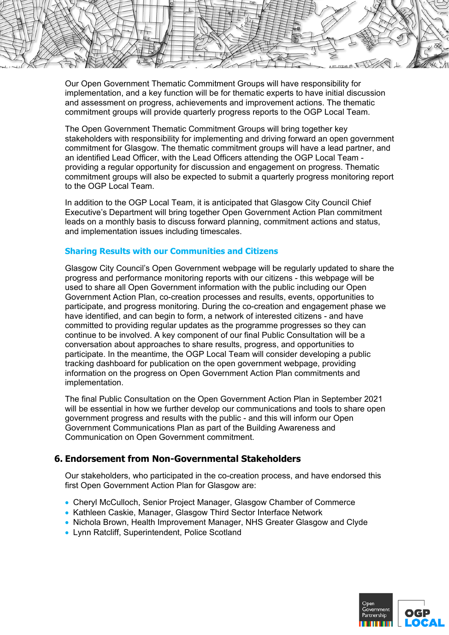

Our Open Government Thematic Commitment Groups will have responsibility for implementation, and a key function will be for thematic experts to have initial discussion and assessment on progress, achievements and improvement actions. The thematic commitment groups will provide quarterly progress reports to the OGP Local Team.

The Open Government Thematic Commitment Groups will bring together key stakeholders with responsibility for implementing and driving forward an open government commitment for Glasgow. The thematic commitment groups will have a lead partner, and an identified Lead Officer, with the Lead Officers attending the OGP Local Team providing a regular opportunity for discussion and engagement on progress. Thematic commitment groups will also be expected to submit a quarterly progress monitoring report to the OGP Local Team.

In addition to the OGP Local Team, it is anticipated that Glasgow City Council Chief Executive's Department will bring together Open Government Action Plan commitment leads on a monthly basis to discuss forward planning, commitment actions and status, and implementation issues including timescales.

## **Sharing Results with our Communities and Citizens**

Glasgow City Council's Open Government webpage will be regularly updated to share the progress and performance monitoring reports with our citizens - this webpage will be used to share all Open Government information with the public including our Open Government Action Plan, co-creation processes and results, events, opportunities to participate, and progress monitoring. During the co-creation and engagement phase we have identified, and can begin to form, a network of interested citizens - and have committed to providing regular updates as the programme progresses so they can continue to be involved. A key component of our final Public Consultation will be a conversation about approaches to share results, progress, and opportunities to participate. In the meantime, the OGP Local Team will consider developing a public tracking dashboard for publication on the open government webpage, providing information on the progress on Open Government Action Plan commitments and implementation.

The final Public Consultation on the Open Government Action Plan in September 2021 will be essential in how we further develop our communications and tools to share open government progress and results with the public - and this will inform our Open Government Communications Plan as part of the Building Awareness and Communication on Open Government commitment.

# **6. Endorsement from Non-Governmental Stakeholders**

Our stakeholders, who participated in the co-creation process, and have endorsed this first Open Government Action Plan for Glasgow are:

- Cheryl McCulloch, Senior Project Manager, Glasgow Chamber of Commerce
- Kathleen Caskie, Manager, Glasgow Third Sector Interface Network
- Nichola Brown, Health Improvement Manager, NHS Greater Glasgow and Clyde
- Lynn Ratcliff, Superintendent, Police Scotland

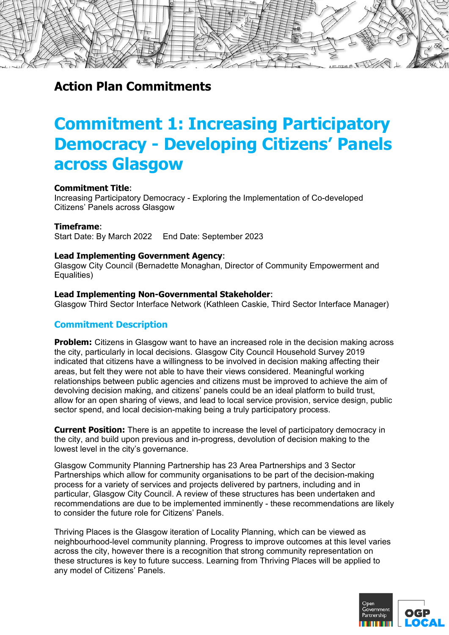

# **Commitment 1: Increasing Participatory Democracy - Developing Citizens' Panels across Glasgow**

#### **Commitment Title**:

Increasing Participatory Democracy - Exploring the Implementation of Co-developed Citizens' Panels across Glasgow

#### **Timeframe**:

Start Date: By March 2022 End Date: September 2023

#### **Lead Implementing Government Agency**:

Glasgow City Council (Bernadette Monaghan, Director of Community Empowerment and Equalities)

#### **Lead Implementing Non-Governmental Stakeholder**:

Glasgow Third Sector Interface Network (Kathleen Caskie, Third Sector Interface Manager)

## **Commitment Description**

**Problem:** Citizens in Glasgow want to have an increased role in the decision making across the city, particularly in local decisions. Glasgow City Council Household Survey 2019 indicated that citizens have a willingness to be involved in decision making affecting their areas, but felt they were not able to have their views considered. Meaningful working relationships between public agencies and citizens must be improved to achieve the aim of devolving decision making, and citizens' panels could be an ideal platform to build trust, allow for an open sharing of views, and lead to local service provision, service design, public sector spend, and local decision-making being a truly participatory process.

**Current Position:** There is an appetite to increase the level of participatory democracy in the city, and build upon previous and in-progress, devolution of decision making to the lowest level in the city's governance.

Glasgow Community Planning Partnership has 23 Area Partnerships and 3 Sector Partnerships which allow for community organisations to be part of the decision-making process for a variety of services and projects delivered by partners, including and in particular, Glasgow City Council. A review of these structures has been undertaken and recommendations are due to be implemented imminently - these recommendations are likely to consider the future role for Citizens' Panels.

Thriving Places is the Glasgow iteration of Locality Planning, which can be viewed as neighbourhood-level community planning. Progress to improve outcomes at this level varies across the city, however there is a recognition that strong community representation on these structures is key to future success. Learning from Thriving Places will be applied to any model of Citizens' Panels.

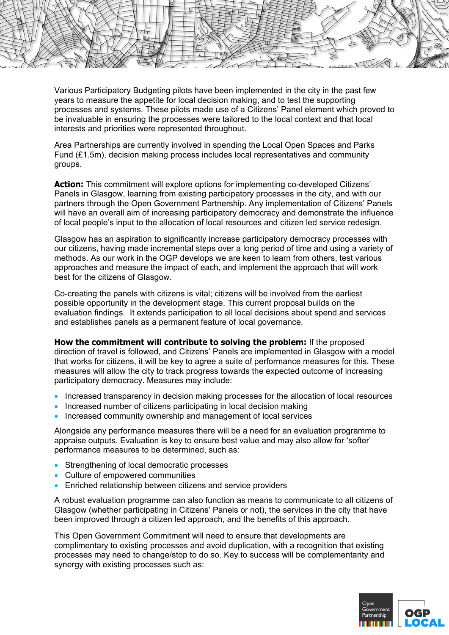

Various Participatory Budgeting pilots have been implemented in the city in the past few years to measure the appetite for local decision making, and to test the supporting processes and systems. These pilots made use of a Citizens' Panel element which proved to be invaluable in ensuring the processes were tailored to the local context and that local interests and priorities were represented throughout.

Area Partnerships are currently involved in spending the Local Open Spaces and Parks Fund  $(E1.5m)$ , decision making process includes local representatives and community groups.

**Action:** This commitment will explore options for implementing co-developed Citizens' Panels in Glasgow, learning from existing participatory processes in the city, and with our partners through the Open Government Partnership. Any implementation of Citizens' Panels will have an overall aim of increasing participatory democracy and demonstrate the influence of local people's input to the allocation of local resources and citizen led service redesign.

Glasgow has an aspiration to significantly increase participatory democracy processes with our citizens, having made incremental steps over a long period of time and using a variety of methods. As our work in the OGP develops we are keen to learn from others, test various approaches and measure the impact of each, and implement the approach that will work best for the citizens of Glasgow.

Co-creating the panels with citizens is vital; citizens will be involved from the earliest possible opportunity in the development stage. This current proposal builds on the evaluation findings. It extends participation to all local decisions about spend and services and establishes panels as a permanent feature of local governance.

**How the commitment will contribute to solving the problem:** If the proposed direction of travel is followed, and Citizens' Panels are implemented in Glasgow with a model that works for citizens, it will be key to agree a suite of performance measures for this. These measures will allow the city to track progress towards the expected outcome of increasing participatory democracy. Measures may include:

- Increased transparency in decision making processes for the allocation of local resources
- Increased number of citizens participating in local decision making
- Increased community ownership and management of local services

Alongside any performance measures there will be a need for an evaluation programme to appraise outputs. Evaluation is key to ensure best value and may also allow for 'softer' performance measures to be determined, such as:

- Strengthening of local democratic processes
- Culture of empowered communities
- **Enriched relationship between citizens and service providers**

A robust evaluation programme can also function as means to communicate to all citizens of Glasgow (whether participating in Citizens' Panels or not), the services in the city that have been improved through a citizen led approach, and the benefits of this approach.

This Open Government Commitment will need to ensure that developments are complimentary to existing processes and avoid duplication, with a recognition that existing processes may need to change/stop to do so. Key to success will be complementarity and synergy with existing processes such as:

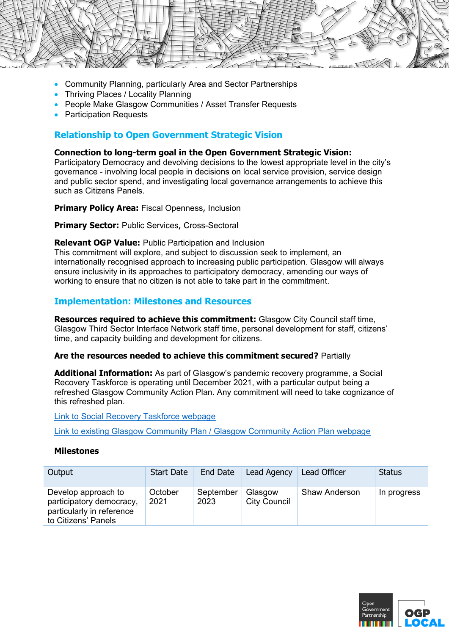

- Community Planning, particularly Area and Sector Partnerships
- Thriving Places / Locality Planning
- People Make Glasgow Communities / Asset Transfer Requests
- Participation Requests

# **Relationship to Open Government Strategic Vision**

## **Connection to long-term goal in the Open Government Strategic Vision:**

Participatory Democracy and devolving decisions to the lowest appropriate level in the city's governance - involving local people in decisions on local service provision, service design and public sector spend, and investigating local governance arrangements to achieve this such as Citizens Panels.

## **Primary Policy Area: Fiscal Openness, Inclusion**

**Primary Sector:** Public Services, Cross-Sectoral

## **Relevant OGP Value:** Public Participation and Inclusion

This commitment will explore, and subject to discussion seek to implement, an internationally recognised approach to increasing public participation. Glasgow will always ensure inclusivity in its approaches to participatory democracy, amending our ways of working to ensure that no citizen is not able to take part in the commitment.

# **Implementation: Milestones and Resources**

**Resources required to achieve this commitment:** Glasgow City Council staff time, Glasgow Third Sector Interface Network staff time, personal development for staff, citizens' time, and capacity building and development for citizens.

## **Are the resources needed to achieve this commitment secured?** Partially

**Additional Information:** As part of Glasgow's pandemic recovery programme, a Social Recovery Taskforce is operating until December 2021, with a particular output being a refreshed Glasgow Community Action Plan. Any commitment will need to take cognizance of this refreshed plan.

## Link to Social Recovery Taskforce webpage

Link to existing Glasgow Community Plan / Glasgow Community Action Plan webpage

## **Milestones**

| Output                                                                                              | <b>Start Date</b> | End Date          | Lead Agency                    | Lead Officer         | <b>Status</b> |
|-----------------------------------------------------------------------------------------------------|-------------------|-------------------|--------------------------------|----------------------|---------------|
| Develop approach to<br>participatory democracy,<br>particularly in reference<br>to Citizens' Panels | October<br>2021   | September<br>2023 | Glasgow<br><b>City Council</b> | <b>Shaw Anderson</b> | In progress   |

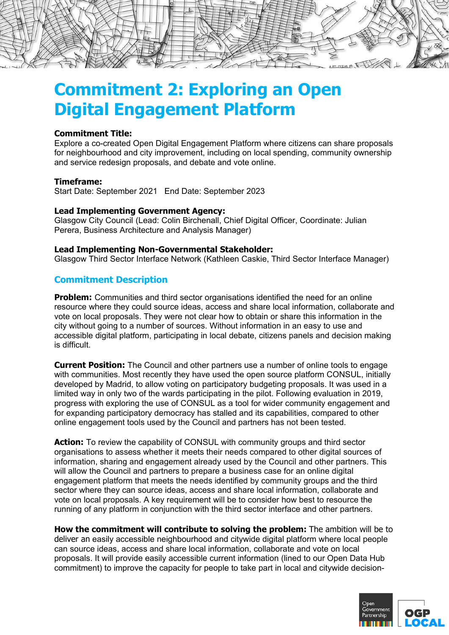

# **Commitment 2: Exploring an Open Digital Engagement Platform**

## **Commitment Title:**

Explore a co-created Open Digital Engagement Platform where citizens can share proposals for neighbourhood and city improvement, including on local spending, community ownership and service redesign proposals, and debate and vote online.

#### **Timeframe:**

Start Date: September 2021 End Date: September 2023

#### **Lead Implementing Government Agency:**

Glasgow City Council (Lead: Colin Birchenall, Chief Digital Officer, Coordinate: Julian Perera, Business Architecture and Analysis Manager)

#### **Lead Implementing Non-Governmental Stakeholder:**

Glasgow Third Sector Interface Network (Kathleen Caskie, Third Sector Interface Manager)

# **Commitment Description**

**Problem:** Communities and third sector organisations identified the need for an online resource where they could source ideas, access and share local information, collaborate and vote on local proposals. They were not clear how to obtain or share this information in the city without going to a number of sources. Without information in an easy to use and accessible digital platform, participating in local debate, citizens panels and decision making is difficult.

**Current Position:** The Council and other partners use a number of online tools to engage with communities. Most recently they have used the open source platform CONSUL, initially developed by Madrid, to allow voting on participatory budgeting proposals. It was used in a limited way in only two of the wards participating in the pilot. Following evaluation in 2019, progress with exploring the use of CONSUL as a tool for wider community engagement and for expanding participatory democracy has stalled and its capabilities, compared to other online engagement tools used by the Council and partners has not been tested.

**Action:** To review the capability of CONSUL with community groups and third sector organisations to assess whether it meets their needs compared to other digital sources of information, sharing and engagement already used by the Council and other partners. This will allow the Council and partners to prepare a business case for an online digital engagement platform that meets the needs identified by community groups and the third sector where they can source ideas, access and share local information, collaborate and vote on local proposals. A key requirement will be to consider how best to resource the running of any platform in conjunction with the third sector interface and other partners.

**How the commitment will contribute to solving the problem:** The ambition will be to deliver an easily accessible neighbourhood and citywide digital platform where local people can source ideas, access and share local information, collaborate and vote on local proposals. It will provide easily accessible current information (lined to our Open Data Hub commitment) to improve the capacity for people to take part in local and citywide decision-

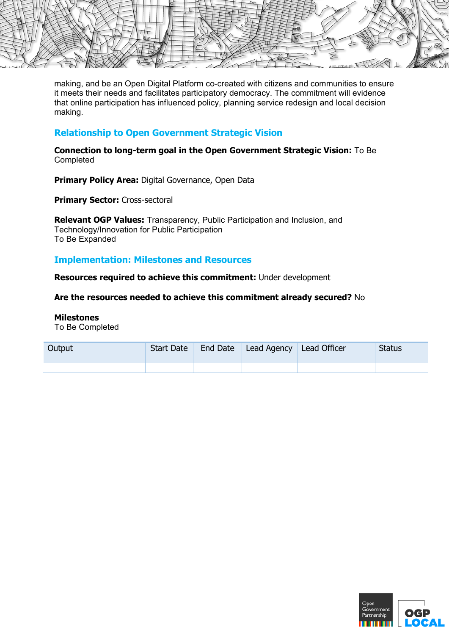

making, and be an Open Digital Platform co-created with citizens and communities to ensure it meets their needs and facilitates participatory democracy. The commitment will evidence that online participation has influenced policy, planning service redesign and local decision making.

# **Relationship to Open Government Strategic Vision**

**Connection to long-term goal in the Open Government Strategic Vision:** To Be Completed

**Primary Policy Area: Digital Governance, Open Data** 

**Primary Sector: Cross-sectoral** 

**Relevant OGP Values:** Transparency, Public Participation and Inclusion, and Technology/Innovation for Public Participation To Be Expanded

# **Implementation: Milestones and Resources**

**Resources required to achieve this commitment:** Under development

**Are the resources needed to achieve this commitment already secured?** No

## **Milestones**

To Be Completed

| Output | Start Date | End Date   Lead Agency   Lead Officer | <b>Status</b> |
|--------|------------|---------------------------------------|---------------|
|        |            |                                       |               |

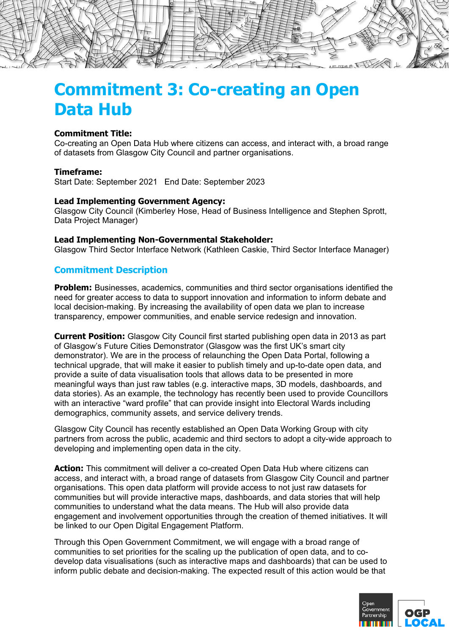

# **Commitment 3: Co-creating an Open Data Hub**

## **Commitment Title:**

Co-creating an Open Data Hub where citizens can access, and interact with, a broad range of datasets from Glasgow City Council and partner organisations.

#### **Timeframe:**

Start Date: September 2021 End Date: September 2023

#### **Lead Implementing Government Agency:**

Glasgow City Council (Kimberley Hose, Head of Business Intelligence and Stephen Sprott, Data Project Manager)

#### **Lead Implementing Non-Governmental Stakeholder:**

Glasgow Third Sector Interface Network (Kathleen Caskie, Third Sector Interface Manager)

# **Commitment Description**

**Problem:** Businesses, academics, communities and third sector organisations identified the need for greater access to data to support innovation and information to inform debate and local decision-making. By increasing the availability of open data we plan to increase transparency, empower communities, and enable service redesign and innovation.

**Current Position:** Glasgow City Council first started publishing open data in 2013 as part of Glasgow's Future Cities Demonstrator (Glasgow was the first UK's smart city demonstrator). We are in the process of relaunching the Open Data Portal, following a technical upgrade, that will make it easier to publish timely and up-to-date open data, and provide a suite of data visualisation tools that allows data to be presented in more meaningful ways than just raw tables (e.g. interactive maps, 3D models, dashboards, and data stories). As an example, the technology has recently been used to provide Councillors with an interactive "ward profile" that can provide insight into Electoral Wards including demographics, community assets, and service delivery trends.

Glasgow City Council has recently established an Open Data Working Group with city partners from across the public, academic and third sectors to adopt a city-wide approach to developing and implementing open data in the city.

**Action:** This commitment will deliver a co-created Open Data Hub where citizens can access, and interact with, a broad range of datasets from Glasgow City Council and partner organisations. This open data platform will provide access to not just raw datasets for communities but will provide interactive maps, dashboards, and data stories that will help communities to understand what the data means. The Hub will also provide data engagement and involvement opportunities through the creation of themed initiatives. It will be linked to our Open Digital Engagement Platform.

Through this Open Government Commitment, we will engage with a broad range of communities to set priorities for the scaling up the publication of open data, and to codevelop data visualisations (such as interactive maps and dashboards) that can be used to inform public debate and decision-making. The expected result of this action would be that

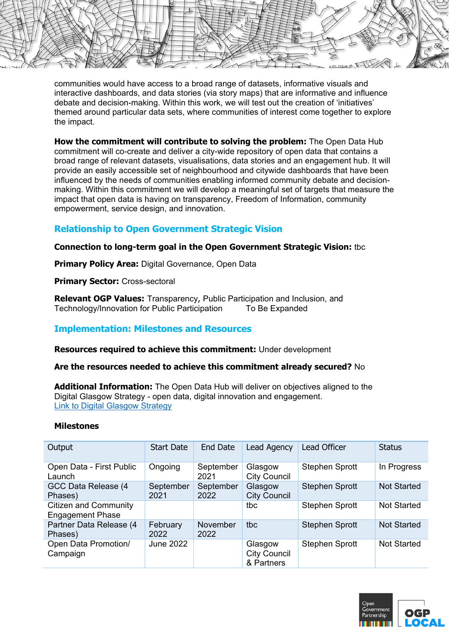$H = \sqrt{12}$ 

communities would have access to a broad range of datasets, informative visuals and interactive dashboards, and data stories (via story maps) that are informative and influence debate and decision-making. Within this work, we will test out the creation of 'initiatives' themed around particular data sets, where communities of interest come together to explore the impact.

**How the commitment will contribute to solving the problem:** The Open Data Hub commitment will co-create and deliver a city-wide repository of open data that contains a broad range of relevant datasets, visualisations, data stories and an engagement hub. It will provide an easily accessible set of neighbourhood and citywide dashboards that have been influenced by the needs of communities enabling informed community debate and decisionmaking. Within this commitment we will develop a meaningful set of targets that measure the impact that open data is having on transparency, Freedom of Information, community empowerment, service design, and innovation.

# **Relationship to Open Government Strategic Vision**

# **Connection to long-term goal in the Open Government Strategic Vision:** tbc

**Primary Policy Area: Digital Governance, Open Data** 

**Primary Sector: Cross-sectoral** 

**Relevant OGP Values:** Transparency, Public Participation and Inclusion, and Technology/Innovation for Public Participation To Be Expanded

# **Implementation: Milestones and Resources**

**Resources required to achieve this commitment:** Under development

## **Are the resources needed to achieve this commitment already secured?** No

**Additional Information:** The Open Data Hub will deliver on objectives aligned to the Digital Glasgow Strategy - open data, digital innovation and engagement. Link to Digital Glasgow Strategy

## **Milestones**

| Output                                                  | <b>Start Date</b> | End Date          | Lead Agency                                  | <b>Lead Officer</b>   | <b>Status</b>      |
|---------------------------------------------------------|-------------------|-------------------|----------------------------------------------|-----------------------|--------------------|
| Open Data - First Public<br>Launch                      | Ongoing           | September<br>2021 | Glasgow<br><b>City Council</b>               | <b>Stephen Sprott</b> | In Progress        |
| GCC Data Release (4<br>Phases)                          | September<br>2021 | September<br>2022 | Glasgow<br><b>City Council</b>               | <b>Stephen Sprott</b> | <b>Not Started</b> |
| <b>Citizen and Community</b><br><b>Engagement Phase</b> |                   |                   | tbc                                          | <b>Stephen Sprott</b> | <b>Not Started</b> |
| Partner Data Release (4<br>Phases)                      | February<br>2022  | November<br>2022  | tbc                                          | <b>Stephen Sprott</b> | <b>Not Started</b> |
| Open Data Promotion/<br>Campaign                        | <b>June 2022</b>  |                   | Glasgow<br><b>City Council</b><br>& Partners | Stephen Sprott        | Not Started        |

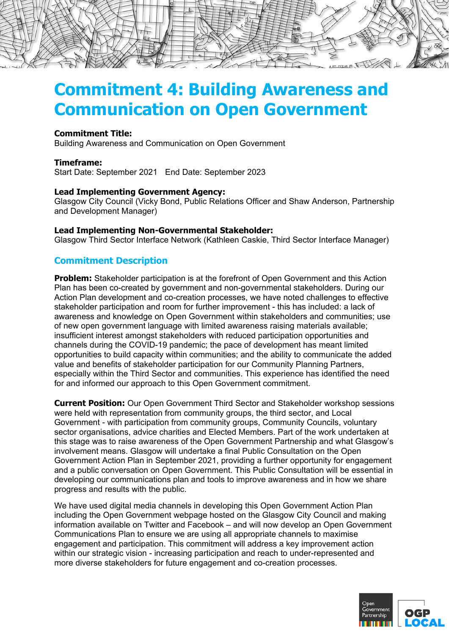

# **Commitment 4: Building Awareness and Communication on Open Government**

## **Commitment Title:**

Building Awareness and Communication on Open Government

## **Timeframe:**

Start Date: September 2021 End Date: September 2023

## **Lead Implementing Government Agency:**

Glasgow City Council (Vicky Bond, Public Relations Officer and Shaw Anderson, Partnership and Development Manager)

#### **Lead Implementing Non-Governmental Stakeholder:**

Glasgow Third Sector Interface Network (Kathleen Caskie, Third Sector Interface Manager)

# **Commitment Description**

**Problem:** Stakeholder participation is at the forefront of Open Government and this Action Plan has been co-created by government and non-governmental stakeholders. During our Action Plan development and co-creation processes, we have noted challenges to effective stakeholder participation and room for further improvement - this has included: a lack of awareness and knowledge on Open Government within stakeholders and communities; use of new open government language with limited awareness raising materials available; insufficient interest amongst stakeholders with reduced participation opportunities and channels during the COVID-19 pandemic; the pace of development has meant limited opportunities to build capacity within communities; and the ability to communicate the added value and benefits of stakeholder participation for our Community Planning Partners, especially within the Third Sector and communities. This experience has identified the need for and informed our approach to this Open Government commitment.

**Current Position:** Our Open Government Third Sector and Stakeholder workshop sessions were held with representation from community groups, the third sector, and Local Government - with participation from community groups, Community Councils, voluntary sector organisations, advice charities and Elected Members. Part of the work undertaken at this stage was to raise awareness of the Open Government Partnership and what Glasgow's involvement means. Glasgow will undertake a final Public Consultation on the Open Government Action Plan in September 2021, providing a further opportunity for engagement and a public conversation on Open Government. This Public Consultation will be essential in developing our communications plan and tools to improve awareness and in how we share progress and results with the public.

We have used digital media channels in developing this Open Government Action Plan including the Open Government webpage hosted on the Glasgow City Council and making information available on Twitter and Facebook – and will now develop an Open Government Communications Plan to ensure we are using all appropriate channels to maximise engagement and participation. This commitment will address a key improvement action within our strategic vision - increasing participation and reach to under-represented and more diverse stakeholders for future engagement and co-creation processes.

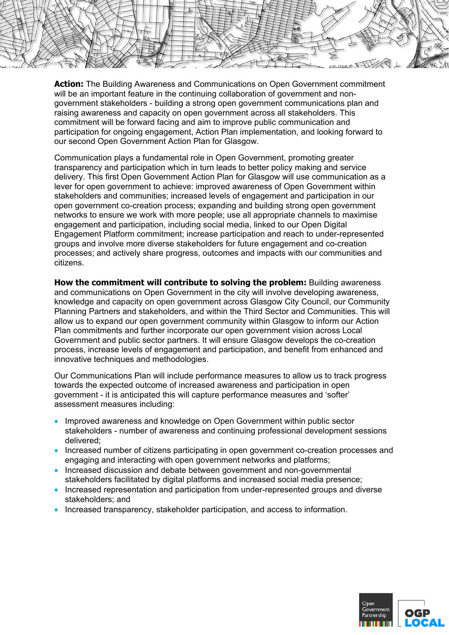**Action:** The Building Awareness and Communications on Open Government commitment will be an important feature in the continuing collaboration of government and nongovernment stakeholders - building a strong open government communications plan and raising awareness and capacity on open government across all stakeholders. This commitment will be forward facing and aim to improve public communication and participation for ongoing engagement, Action Plan implementation, and looking forward to our second Open Government Action Plan for Glasgow.

Communication plays a fundamental role in Open Government, promoting greater transparency and participation which in turn leads to better policy making and service delivery. This first Open Government Action Plan for Glasgow will use communication as a lever for open government to achieve: improved awareness of Open Government within stakeholders and communities; increased levels of engagement and participation in our open government co-creation process; expanding and building strong open government networks to ensure we work with more people; use all appropriate channels to maximise engagement and participation, including social media, linked to our Open Digital Engagement Platform commitment; increase participation and reach to under-represented groups and involve more diverse stakeholders for future engagement and co-creation processes; and actively share progress, outcomes and impacts with our communities and citizens.

**How the commitment will contribute to solving the problem:** Building awareness and communications on Open Government in the city will involve developing awareness, knowledge and capacity on open government across Glasgow City Council, our Community Planning Partners and stakeholders, and within the Third Sector and Communities. This will allow us to expand our open government community within Glasgow to inform our Action Plan commitments and further incorporate our open government vision across Local Government and public sector partners. It will ensure Glasgow develops the co-creation process, increase levels of engagement and participation, and benefit from enhanced and innovative techniques and methodologies.

Our Communications Plan will include performance measures to allow us to track progress towards the expected outcome of increased awareness and participation in open government - it is anticipated this will capture performance measures and 'softer' assessment measures including:

- Improved awareness and knowledge on Open Government within public sector stakeholders - number of awareness and continuing professional development sessions delivered;
- Increased number of citizens participating in open government co-creation processes and engaging and interacting with open government networks and platforms;
- Increased discussion and debate between government and non-governmental stakeholders facilitated by digital platforms and increased social media presence;
- Increased representation and participation from under-represented groups and diverse stakeholders; and
- Increased transparency, stakeholder participation, and access to information.